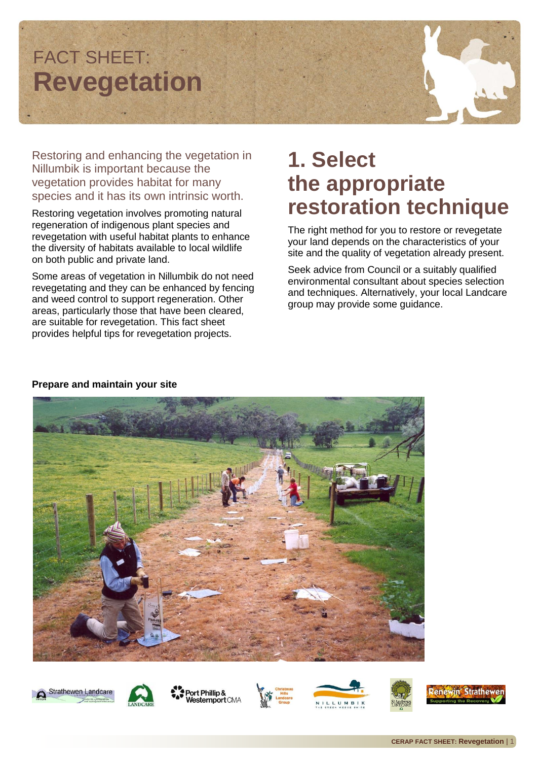# FACT SHEET: **Revegetation**

Restoring and enhancing the vegetation in Nillumbik is important because the vegetation provides habitat for many species and it has its own intrinsic worth.

Restoring vegetation involves promoting natural regeneration of indigenous plant species and revegetation with useful habitat plants to enhance the diversity of habitats available to local wildlife on both public and private land.

Some areas of vegetation in Nillumbik do not need revegetating and they can be enhanced by fencing and weed control to support regeneration. Other areas, particularly those that have been cleared, are suitable for revegetation. This fact sheet provides helpful tips for revegetation projects.

#### **1. Select the appropriate restoration technique**

The right method for you to restore or revegetate your land depends on the characteristics of your site and the quality of vegetation already present.

Seek advice from Council or a suitably qualified environmental consultant about species selection and techniques. Alternatively, your local Landcare group may provide some guidance.



#### **Prepare and maintain your site**



Strathewen Landcare







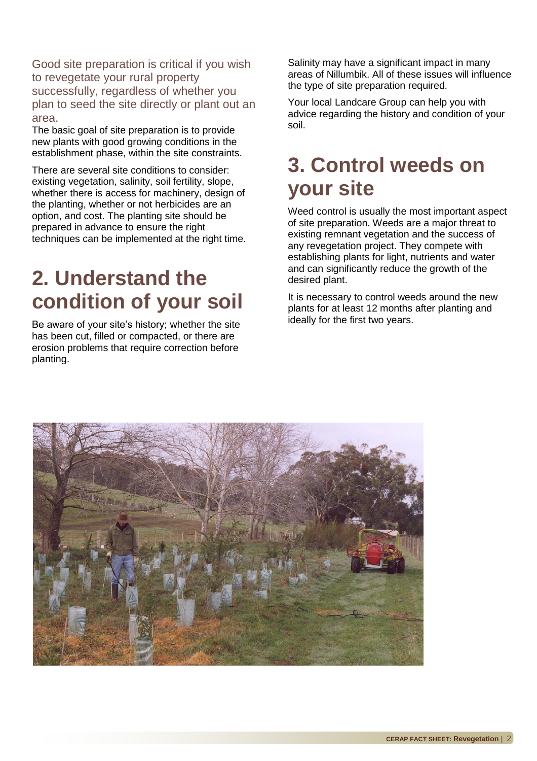Good site preparation is critical if you wish to revegetate your rural property successfully, regardless of whether you plan to seed the site directly or plant out an area.

The basic goal of site preparation is to provide new plants with good growing conditions in the establishment phase, within the site constraints.

There are several site conditions to consider: existing vegetation, salinity, soil fertility, slope, whether there is access for machinery, design of the planting, whether or not herbicides are an option, and cost. The planting site should be prepared in advance to ensure the right techniques can be implemented at the right time.

#### **2. Understand the condition of your soil**

Be aware of your site's history; whether the site has been cut, filled or compacted, or there are erosion problems that require correction before planting.

Salinity may have a significant impact in many areas of Nillumbik. All of these issues will influence the type of site preparation required.

Your local Landcare Group can help you with advice regarding the history and condition of your soil.

#### **3. Control weeds on your site**

Weed control is usually the most important aspect of site preparation. Weeds are a major threat to existing remnant vegetation and the success of any revegetation project. They compete with establishing plants for light, nutrients and water and can significantly reduce the growth of the desired plant.

It is necessary to control weeds around the new plants for at least 12 months after planting and ideally for the first two years.

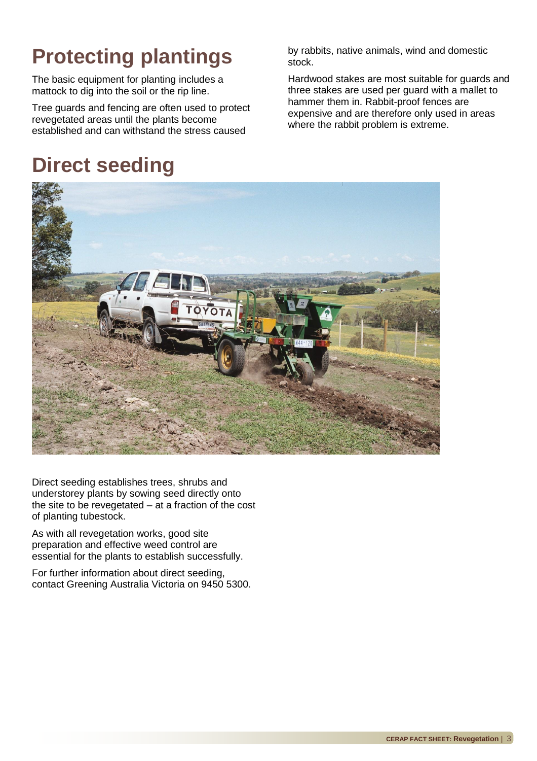### **Protecting plantings**

The basic equipment for planting includes a mattock to dig into the soil or the rip line.

Tree guards and fencing are often used to protect revegetated areas until the plants become established and can withstand the stress caused

#### **Direct seeding**

by rabbits, native animals, wind and domestic stock.

Hardwood stakes are most suitable for guards and three stakes are used per guard with a mallet to hammer them in. Rabbit-proof fences are expensive and are therefore only used in areas where the rabbit problem is extreme.



Direct seeding establishes trees, shrubs and understorey plants by sowing seed directly onto the site to be revegetated – at a fraction of the cost of planting tubestock.

As with all revegetation works, good site preparation and effective weed control are essential for the plants to establish successfully.

For further information about direct seeding, contact Greening Australia Victoria on 9450 5300.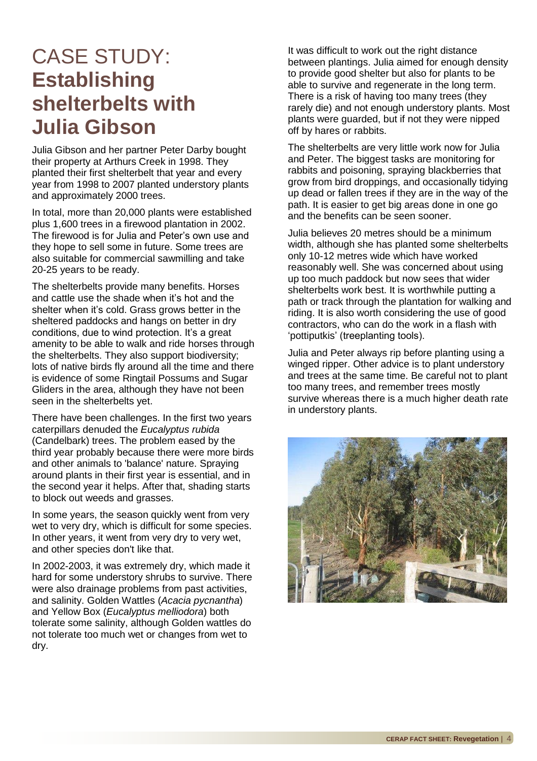#### CASE STUDY: **Establishing shelterbelts with Julia Gibson**

Julia Gibson and her partner Peter Darby bought their property at Arthurs Creek in 1998. They planted their first shelterbelt that year and every year from 1998 to 2007 planted understory plants and approximately 2000 trees.

In total, more than 20,000 plants were established plus 1,600 trees in a firewood plantation in 2002. The firewood is for Julia and Peter's own use and they hope to sell some in future. Some trees are also suitable for commercial sawmilling and take 20-25 years to be ready.

The shelterbelts provide many benefits. Horses and cattle use the shade when it's hot and the shelter when it's cold. Grass grows better in the sheltered paddocks and hangs on better in dry conditions, due to wind protection. It's a great amenity to be able to walk and ride horses through the shelterbelts. They also support biodiversity; lots of native birds fly around all the time and there is evidence of some Ringtail Possums and Sugar Gliders in the area, although they have not been seen in the shelterbelts yet.

There have been challenges. In the first two years caterpillars denuded the *Eucalyptus rubida* (Candelbark) trees. The problem eased by the third year probably because there were more birds and other animals to 'balance' nature. Spraying around plants in their first year is essential, and in the second year it helps. After that, shading starts to block out weeds and grasses.

In some years, the season quickly went from very wet to very dry, which is difficult for some species. In other years, it went from very dry to very wet, and other species don't like that.

In 2002-2003, it was extremely dry, which made it hard for some understory shrubs to survive. There were also drainage problems from past activities, and salinity. Golden Wattles (*Acacia pycnantha*) and Yellow Box (*Eucalyptus melliodora*) both tolerate some salinity, although Golden wattles do not tolerate too much wet or changes from wet to dry.

It was difficult to work out the right distance between plantings. Julia aimed for enough density to provide good shelter but also for plants to be able to survive and regenerate in the long term. There is a risk of having too many trees (they rarely die) and not enough understory plants. Most plants were guarded, but if not they were nipped off by hares or rabbits.

The shelterbelts are very little work now for Julia and Peter. The biggest tasks are monitoring for rabbits and poisoning, spraying blackberries that grow from bird droppings, and occasionally tidying up dead or fallen trees if they are in the way of the path. It is easier to get big areas done in one go and the benefits can be seen sooner.

Julia believes 20 metres should be a minimum width, although she has planted some shelterbelts only 10-12 metres wide which have worked reasonably well. She was concerned about using up too much paddock but now sees that wider shelterbelts work best. It is worthwhile putting a path or track through the plantation for walking and riding. It is also worth considering the use of good contractors, who can do the work in a flash with 'pottiputkis' (treeplanting tools).

Julia and Peter always rip before planting using a winged ripper. Other advice is to plant understory and trees at the same time. Be careful not to plant too many trees, and remember trees mostly survive whereas there is a much higher death rate in understory plants.